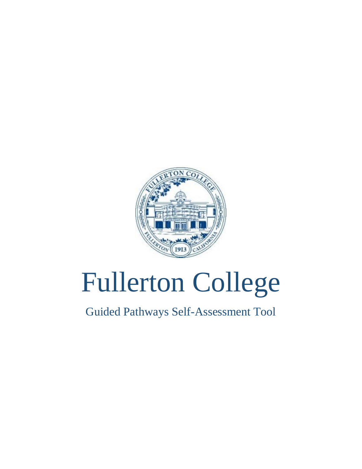

# Fullerton College

Guided Pathways Self-Assessment Tool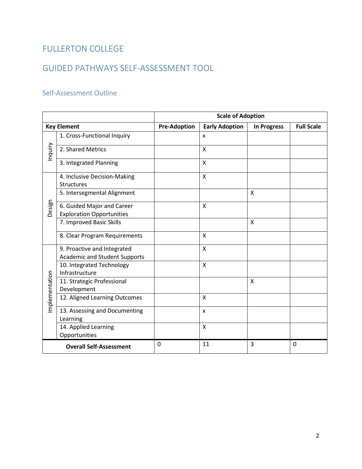## FULLERTON COLLEGE

# GUIDED PATHWAYS SELF-ASSESSMENT TOOL

### Self-Assessment Outline

|                | <b>Scale of Adoption</b>                    |                     |                       |                    |                   |
|----------------|---------------------------------------------|---------------------|-----------------------|--------------------|-------------------|
|                | <b>Key Element</b>                          | <b>Pre-Adoption</b> | <b>Early Adoption</b> | <b>In Progress</b> | <b>Full Scale</b> |
|                | 1. Cross-Functional Inquiry                 |                     | X                     |                    |                   |
| Inquiry        | 2. Shared Metrics                           |                     | X                     |                    |                   |
|                | 3. Integrated Planning                      |                     | $\mathsf{x}$          |                    |                   |
|                | 4. Inclusive Decision-Making                |                     | X                     |                    |                   |
|                | <b>Structures</b>                           |                     |                       |                    |                   |
|                | 5. Intersegmental Alignment                 |                     |                       | x                  |                   |
| Design         | 6. Guided Major and Career                  |                     | X                     |                    |                   |
|                | <b>Exploration Opportunities</b>            |                     |                       |                    |                   |
|                | 7. Improved Basic Skills                    |                     |                       | X                  |                   |
|                | 8. Clear Program Requirements               |                     | Χ                     |                    |                   |
|                | 9. Proactive and Integrated                 |                     | X                     |                    |                   |
|                | <b>Academic and Student Supports</b>        |                     | X                     |                    |                   |
|                | 10. Integrated Technology<br>Infrastructure |                     |                       |                    |                   |
| Implementation | 11. Strategic Professional                  |                     |                       | X                  |                   |
|                | Development                                 |                     |                       |                    |                   |
|                | 12. Aligned Learning Outcomes               |                     | X                     |                    |                   |
|                | 13. Assessing and Documenting               |                     | $\mathsf{x}$          |                    |                   |
|                | Learning                                    |                     |                       |                    |                   |
|                | 14. Applied Learning                        |                     | $\mathsf{x}$          |                    |                   |
|                | Opportunities                               |                     |                       |                    |                   |
|                | <b>Overall Self-Assessment</b>              | 0                   | 11                    | 3                  | 0                 |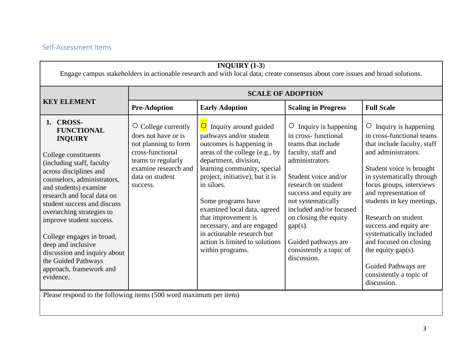#### Self-Assessment Items

| INQUIRY $(1-3)$<br>Engage campus stakeholders in actionable research and with local data; create consensus about core issues and broad solutions.                                                                                                                                                                                                                                                                                                               |                                                                                                                                                                              |                                                                                                                                                                                                                                                                                                                                                                                                                                         |                                                                                                                                                                                                                                                                                                                                                         |                                                                                                                                                                                                                                                                                                                                                                                                                                                         |  |  |
|-----------------------------------------------------------------------------------------------------------------------------------------------------------------------------------------------------------------------------------------------------------------------------------------------------------------------------------------------------------------------------------------------------------------------------------------------------------------|------------------------------------------------------------------------------------------------------------------------------------------------------------------------------|-----------------------------------------------------------------------------------------------------------------------------------------------------------------------------------------------------------------------------------------------------------------------------------------------------------------------------------------------------------------------------------------------------------------------------------------|---------------------------------------------------------------------------------------------------------------------------------------------------------------------------------------------------------------------------------------------------------------------------------------------------------------------------------------------------------|---------------------------------------------------------------------------------------------------------------------------------------------------------------------------------------------------------------------------------------------------------------------------------------------------------------------------------------------------------------------------------------------------------------------------------------------------------|--|--|
|                                                                                                                                                                                                                                                                                                                                                                                                                                                                 |                                                                                                                                                                              |                                                                                                                                                                                                                                                                                                                                                                                                                                         | <b>SCALE OF ADOPTION</b>                                                                                                                                                                                                                                                                                                                                |                                                                                                                                                                                                                                                                                                                                                                                                                                                         |  |  |
| <b>KEY ELEMENT</b>                                                                                                                                                                                                                                                                                                                                                                                                                                              | <b>Pre-Adoption</b>                                                                                                                                                          | <b>Early Adoption</b>                                                                                                                                                                                                                                                                                                                                                                                                                   | <b>Scaling in Progress</b>                                                                                                                                                                                                                                                                                                                              | <b>Full Scale</b>                                                                                                                                                                                                                                                                                                                                                                                                                                       |  |  |
| 1. CROSS-<br><b>FUNCTIONAL</b><br><b>INQUIRY</b><br>College constituents<br>(including staff, faculty<br>across disciplines and<br>counselors, administrators,<br>and students) examine<br>research and local data on<br>student success and discuss<br>overarching strategies to<br>improve student success.<br>College engages in broad,<br>deep and inclusive<br>discussion and inquiry about<br>the Guided Pathways<br>approach, framework and<br>evidence. | $\circ$<br>College currently<br>does not have or is<br>not planning to form<br>cross-functional<br>teams to regularly<br>examine research and<br>data on student<br>success. | $\overline{O}$<br>Inquiry around guided<br>pathways and/or student<br>outcomes is happening in<br>areas of the college (e.g., by<br>department, division,<br>learning community, special<br>project, initiative), but it is<br>in siloes.<br>Some programs have<br>examined local data, agreed<br>that improvement is<br>necessary, and are engaged<br>in actionable research but<br>action is limited to solutions<br>within programs. | Inquiry is happening<br>$\circ$<br>in cross-functional<br>teams that include<br>faculty, staff and<br>administrators.<br>Student voice and/or<br>research on student<br>success and equity are<br>not systematically<br>included and/or focused<br>on closing the equity<br>$gap(s)$ .<br>Guided pathways are<br>consistently a topic of<br>discussion. | Inquiry is happening<br>O<br>in cross-functional teams<br>that include faculty, staff<br>and administrators.<br>Student voice is brought<br>in systematically through<br>focus groups, interviews<br>and representation of<br>students in key meetings.<br>Research on student<br>success and equity are<br>systematically included<br>and focused on closing<br>the equity $gap(s)$ .<br>Guided Pathways are<br>consistently a topic of<br>discussion. |  |  |
|                                                                                                                                                                                                                                                                                                                                                                                                                                                                 | Please respond to the following items (500 word maximum per item)                                                                                                            |                                                                                                                                                                                                                                                                                                                                                                                                                                         |                                                                                                                                                                                                                                                                                                                                                         |                                                                                                                                                                                                                                                                                                                                                                                                                                                         |  |  |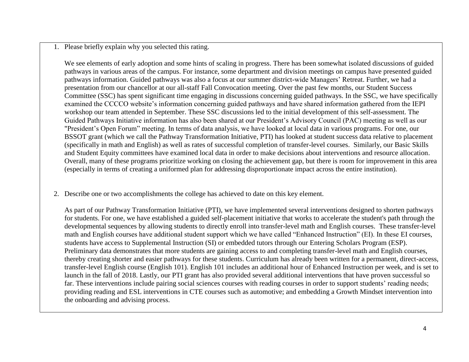1. Please briefly explain why you selected this rating.

We see elements of early adoption and some hints of scaling in progress. There has been somewhat isolated discussions of guided pathways in various areas of the campus. For instance, some department and division meetings on campus have presented guided pathways information. Guided pathways was also a focus at our summer district-wide Managers' Retreat. Further, we had a presentation from our chancellor at our all-staff Fall Convocation meeting. Over the past few months, our Student Success Committee (SSC) has spent significant time engaging in discussions concerning guided pathways. In the SSC, we have specifically examined the CCCCO website's information concerning guided pathways and have shared information gathered from the IEPI workshop our team attended in September. These SSC discussions led to the initial development of this self-assessment. The Guided Pathways Initiative information has also been shared at our President's Advisory Council (PAC) meeting as well as our "President's Open Forum" meeting. In terms of data analysis, we have looked at local data in various programs. For one, our BSSOT grant (which we call the Pathway Transformation Initiative, PTI) has looked at student success data relative to placement (specifically in math and English) as well as rates of successful completion of transfer-level courses. Similarly, our Basic Skills and Student Equity committees have examined local data in order to make decisions about interventions and resource allocation. Overall, many of these programs prioritize working on closing the achievement gap, but there is room for improvement in this area (especially in terms of creating a uniformed plan for addressing disproportionate impact across the entire institution).

2. Describe one or two accomplishments the college has achieved to date on this key element.

As part of our Pathway Transformation Initiative (PTI), we have implemented several interventions designed to shorten pathways for students. For one, we have established a guided self-placement initiative that works to accelerate the student's path through the developmental sequences by allowing students to directly enroll into transfer-level math and English courses. These transfer-level math and English courses have additional student support which we have called "Enhanced Instruction" (EI). In these EI courses, students have access to Supplemental Instruction (SI) or embedded tutors through our Entering Scholars Program (ESP). Preliminary data demonstrates that more students are gaining access to and completing transfer-level math and English courses, thereby creating shorter and easier pathways for these students. Curriculum has already been written for a permanent, direct-access, transfer-level English course (English 101). English 101 includes an additional hour of Enhanced Instruction per week, and is set to launch in the fall of 2018. Lastly, our PTI grant has also provided several additional interventions that have proven successful so far. These interventions include pairing social sciences courses with reading courses in order to support students' reading needs; providing reading and ESL interventions in CTE courses such as automotive; and embedding a Growth Mindset intervention into the onboarding and advising process.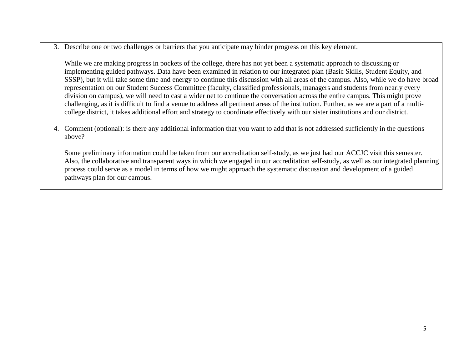3. Describe one or two challenges or barriers that you anticipate may hinder progress on this key element.

While we are making progress in pockets of the college, there has not yet been a systematic approach to discussing or implementing guided pathways. Data have been examined in relation to our integrated plan (Basic Skills, Student Equity, and SSSP), but it will take some time and energy to continue this discussion with all areas of the campus. Also, while we do have broad representation on our Student Success Committee (faculty, classified professionals, managers and students from nearly every division on campus), we will need to cast a wider net to continue the conversation across the entire campus. This might prove challenging, as it is difficult to find a venue to address all pertinent areas of the institution. Further, as we are a part of a multicollege district, it takes additional effort and strategy to coordinate effectively with our sister institutions and our district.

4. Comment (optional): is there any additional information that you want to add that is not addressed sufficiently in the questions above?

Some preliminary information could be taken from our accreditation self-study, as we just had our ACCJC visit this semester. Also, the collaborative and transparent ways in which we engaged in our accreditation self-study, as well as our integrated planning process could serve as a model in terms of how we might approach the systematic discussion and development of a guided pathways plan for our campus.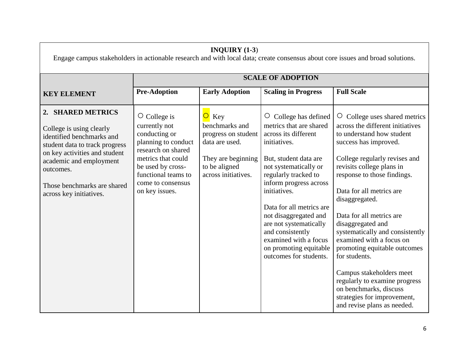| INQUIRY $(1-3)$<br>Engage campus stakeholders in actionable research and with local data; create consensus about core issues and broad solutions.                                                                                               |                                                                                                                                                                                                            |                                                                                                                                             |                                                                                                                                                                                                                                                                                                                                                                                                 |                                                                                                                                                                                                                                                                                                                                                                                                                                                                                                                                                                                             |  |
|-------------------------------------------------------------------------------------------------------------------------------------------------------------------------------------------------------------------------------------------------|------------------------------------------------------------------------------------------------------------------------------------------------------------------------------------------------------------|---------------------------------------------------------------------------------------------------------------------------------------------|-------------------------------------------------------------------------------------------------------------------------------------------------------------------------------------------------------------------------------------------------------------------------------------------------------------------------------------------------------------------------------------------------|---------------------------------------------------------------------------------------------------------------------------------------------------------------------------------------------------------------------------------------------------------------------------------------------------------------------------------------------------------------------------------------------------------------------------------------------------------------------------------------------------------------------------------------------------------------------------------------------|--|
|                                                                                                                                                                                                                                                 |                                                                                                                                                                                                            |                                                                                                                                             | <b>SCALE OF ADOPTION</b>                                                                                                                                                                                                                                                                                                                                                                        |                                                                                                                                                                                                                                                                                                                                                                                                                                                                                                                                                                                             |  |
| <b>KEY ELEMENT</b>                                                                                                                                                                                                                              | <b>Pre-Adoption</b>                                                                                                                                                                                        | <b>Early Adoption</b>                                                                                                                       | <b>Scaling in Progress</b>                                                                                                                                                                                                                                                                                                                                                                      | <b>Full Scale</b>                                                                                                                                                                                                                                                                                                                                                                                                                                                                                                                                                                           |  |
| 2. SHARED METRICS<br>College is using clearly<br>identified benchmarks and<br>student data to track progress<br>on key activities and student<br>academic and employment<br>outcomes.<br>Those benchmarks are shared<br>across key initiatives. | $\circ$ College is<br>currently not<br>conducting or<br>planning to conduct<br>research on shared<br>metrics that could<br>be used by cross-<br>functional teams to<br>come to consensus<br>on key issues. | $\overline{O}$ Key<br>benchmarks and<br>progress on student<br>data are used.<br>They are beginning<br>to be aligned<br>across initiatives. | College has defined<br>O<br>metrics that are shared<br>across its different<br>initiatives.<br>But, student data are<br>not systematically or<br>regularly tracked to<br>inform progress across<br>initiatives.<br>Data for all metrics are<br>not disaggregated and<br>are not systematically<br>and consistently<br>examined with a focus<br>on promoting equitable<br>outcomes for students. | College uses shared metrics<br>O<br>across the different initiatives<br>to understand how student<br>success has improved.<br>College regularly revises and<br>revisits college plans in<br>response to those findings.<br>Data for all metrics are<br>disaggregated.<br>Data for all metrics are<br>disaggregated and<br>systematically and consistently<br>examined with a focus on<br>promoting equitable outcomes<br>for students.<br>Campus stakeholders meet<br>regularly to examine progress<br>on benchmarks, discuss<br>strategies for improvement,<br>and revise plans as needed. |  |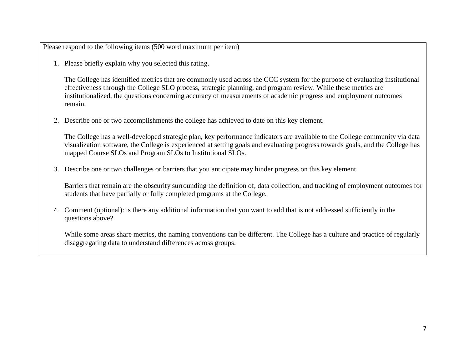1. Please briefly explain why you selected this rating.

The College has identified metrics that are commonly used across the CCC system for the purpose of evaluating institutional effectiveness through the College SLO process, strategic planning, and program review. While these metrics are institutionalized, the questions concerning accuracy of measurements of academic progress and employment outcomes remain.

2. Describe one or two accomplishments the college has achieved to date on this key element.

The College has a well-developed strategic plan, key performance indicators are available to the College community via data visualization software, the College is experienced at setting goals and evaluating progress towards goals, and the College has mapped Course SLOs and Program SLOs to Institutional SLOs.

3. Describe one or two challenges or barriers that you anticipate may hinder progress on this key element.

Barriers that remain are the obscurity surrounding the definition of, data collection, and tracking of employment outcomes for students that have partially or fully completed programs at the College.

4. Comment (optional): is there any additional information that you want to add that is not addressed sufficiently in the questions above?

While some areas share metrics, the naming conventions can be different. The College has a culture and practice of regularly disaggregating data to understand differences across groups.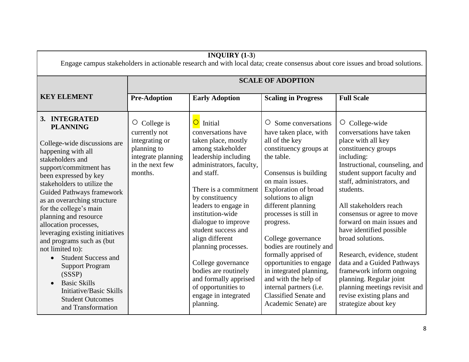| INQUIRY $(1-3)$<br>Engage campus stakeholders in actionable research and with local data; create consensus about core issues and broad solutions.                                                                                                                                                                                                                                                                                                                                                                                                                                                                 |                                                                                                                        |                                                                                                                                                                                                                                                                                                                                                                                                                                                                           |                                                                                                                                                                                                                                                                                                                                                                                                                                                                                                                 |                                                                                                                                                                                                                                                                                                                                                                                                                                                                                                                                                                         |  |
|-------------------------------------------------------------------------------------------------------------------------------------------------------------------------------------------------------------------------------------------------------------------------------------------------------------------------------------------------------------------------------------------------------------------------------------------------------------------------------------------------------------------------------------------------------------------------------------------------------------------|------------------------------------------------------------------------------------------------------------------------|---------------------------------------------------------------------------------------------------------------------------------------------------------------------------------------------------------------------------------------------------------------------------------------------------------------------------------------------------------------------------------------------------------------------------------------------------------------------------|-----------------------------------------------------------------------------------------------------------------------------------------------------------------------------------------------------------------------------------------------------------------------------------------------------------------------------------------------------------------------------------------------------------------------------------------------------------------------------------------------------------------|-------------------------------------------------------------------------------------------------------------------------------------------------------------------------------------------------------------------------------------------------------------------------------------------------------------------------------------------------------------------------------------------------------------------------------------------------------------------------------------------------------------------------------------------------------------------------|--|
|                                                                                                                                                                                                                                                                                                                                                                                                                                                                                                                                                                                                                   | <b>SCALE OF ADOPTION</b>                                                                                               |                                                                                                                                                                                                                                                                                                                                                                                                                                                                           |                                                                                                                                                                                                                                                                                                                                                                                                                                                                                                                 |                                                                                                                                                                                                                                                                                                                                                                                                                                                                                                                                                                         |  |
| <b>KEY ELEMENT</b>                                                                                                                                                                                                                                                                                                                                                                                                                                                                                                                                                                                                | <b>Pre-Adoption</b>                                                                                                    | <b>Early Adoption</b>                                                                                                                                                                                                                                                                                                                                                                                                                                                     | <b>Scaling in Progress</b>                                                                                                                                                                                                                                                                                                                                                                                                                                                                                      | <b>Full Scale</b>                                                                                                                                                                                                                                                                                                                                                                                                                                                                                                                                                       |  |
| 3. INTEGRATED<br><b>PLANNING</b><br>College-wide discussions are<br>happening with all<br>stakeholders and<br>support/commitment has<br>been expressed by key<br>stakeholders to utilize the<br><b>Guided Pathways framework</b><br>as an overarching structure<br>for the college's main<br>planning and resource<br>allocation processes,<br>leveraging existing initiatives<br>and programs such as (but<br>not limited to):<br><b>Student Success and</b><br>$\bullet$<br><b>Support Program</b><br>(SSSP)<br><b>Basic Skills</b><br>Initiative/Basic Skills<br><b>Student Outcomes</b><br>and Transformation | College is<br>O.<br>currently not<br>integrating or<br>planning to<br>integrate planning<br>in the next few<br>months. | Initial<br>$\circ$<br>conversations have<br>taken place, mostly<br>among stakeholder<br>leadership including<br>administrators, faculty,<br>and staff.<br>There is a commitment<br>by constituency<br>leaders to engage in<br>institution-wide<br>dialogue to improve<br>student success and<br>align different<br>planning processes.<br>College governance<br>bodies are routinely<br>and formally apprised<br>of opportunities to<br>engage in integrated<br>planning. | $\circ$ Some conversations<br>have taken place, with<br>all of the key<br>constituency groups at<br>the table.<br>Consensus is building<br>on main issues.<br>Exploration of broad<br>solutions to align<br>different planning<br>processes is still in<br>progress.<br>College governance<br>bodies are routinely and<br>formally apprised of<br>opportunities to engage<br>in integrated planning,<br>and with the help of<br>internal partners (i.e.<br><b>Classified Senate and</b><br>Academic Senate) are | $\circ$ College-wide<br>conversations have taken<br>place with all key<br>constituency groups<br>including:<br>Instructional, counseling, and<br>student support faculty and<br>staff, administrators, and<br>students.<br>All stakeholders reach<br>consensus or agree to move<br>forward on main issues and<br>have identified possible<br>broad solutions.<br>Research, evidence, student<br>data and a Guided Pathways<br>framework inform ongoing<br>planning. Regular joint<br>planning meetings revisit and<br>revise existing plans and<br>strategize about key |  |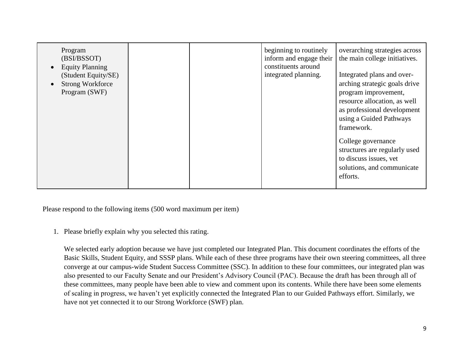| Program<br>(BSI/BSSOT)<br><b>Equity Planning</b><br>(Student Equity/SE)<br><b>Strong Workforce</b><br>Program (SWF) |  |  | beginning to routinely<br>inform and engage their<br>constituents around<br>integrated planning. | overarching strategies across<br>the main college initiatives.<br>Integrated plans and over-<br>arching strategic goals drive<br>program improvement,<br>resource allocation, as well<br>as professional development<br>using a Guided Pathways<br>framework.<br>College governance<br>structures are regularly used<br>to discuss issues, yet<br>solutions, and communicate<br>efforts. |
|---------------------------------------------------------------------------------------------------------------------|--|--|--------------------------------------------------------------------------------------------------|------------------------------------------------------------------------------------------------------------------------------------------------------------------------------------------------------------------------------------------------------------------------------------------------------------------------------------------------------------------------------------------|
|---------------------------------------------------------------------------------------------------------------------|--|--|--------------------------------------------------------------------------------------------------|------------------------------------------------------------------------------------------------------------------------------------------------------------------------------------------------------------------------------------------------------------------------------------------------------------------------------------------------------------------------------------------|

1. Please briefly explain why you selected this rating.

We selected early adoption because we have just completed our Integrated Plan. This document coordinates the efforts of the Basic Skills, Student Equity, and SSSP plans. While each of these three programs have their own steering committees, all three converge at our campus-wide Student Success Committee (SSC). In addition to these four committees, our integrated plan was also presented to our Faculty Senate and our President's Advisory Council (PAC). Because the draft has been through all of these committees, many people have been able to view and comment upon its contents. While there have been some elements of scaling in progress, we haven't yet explicitly connected the Integrated Plan to our Guided Pathways effort. Similarly, we have not yet connected it to our Strong Workforce (SWF) plan.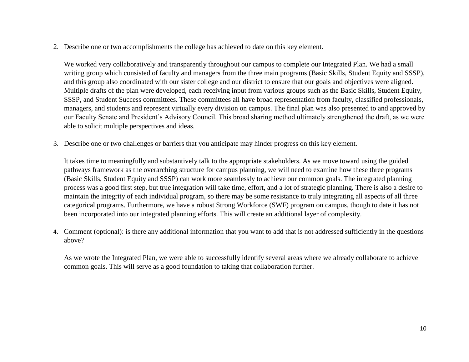2. Describe one or two accomplishments the college has achieved to date on this key element.

We worked very collaboratively and transparently throughout our campus to complete our Integrated Plan. We had a small writing group which consisted of faculty and managers from the three main programs (Basic Skills, Student Equity and SSSP), and this group also coordinated with our sister college and our district to ensure that our goals and objectives were aligned. Multiple drafts of the plan were developed, each receiving input from various groups such as the Basic Skills, Student Equity, SSSP, and Student Success committees. These committees all have broad representation from faculty, classified professionals, managers, and students and represent virtually every division on campus. The final plan was also presented to and approved by our Faculty Senate and President's Advisory Council. This broad sharing method ultimately strengthened the draft, as we were able to solicit multiple perspectives and ideas.

3. Describe one or two challenges or barriers that you anticipate may hinder progress on this key element.

It takes time to meaningfully and substantively talk to the appropriate stakeholders. As we move toward using the guided pathways framework as the overarching structure for campus planning, we will need to examine how these three programs (Basic Skills, Student Equity and SSSP) can work more seamlessly to achieve our common goals. The integrated planning process was a good first step, but true integration will take time, effort, and a lot of strategic planning. There is also a desire to maintain the integrity of each individual program, so there may be some resistance to truly integrating all aspects of all three categorical programs. Furthermore, we have a robust Strong Workforce (SWF) program on campus, though to date it has not been incorporated into our integrated planning efforts. This will create an additional layer of complexity.

4. Comment (optional): is there any additional information that you want to add that is not addressed sufficiently in the questions above?

As we wrote the Integrated Plan, we were able to successfully identify several areas where we already collaborate to achieve common goals. This will serve as a good foundation to taking that collaboration further.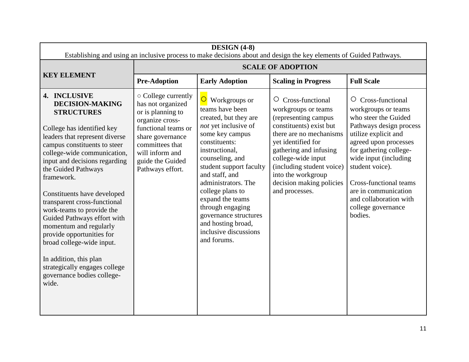| DESIGN (4-8)<br>Establishing and using an inclusive process to make decisions about and design the key elements of Guided Pathways.                                                                                                                                                                                                                                                                                                                                                                                                                                               |                                                                                                                                                                                                           |                                                                                                                                                                                                                                                                                                                                                                                                  |                                                                                                                                                                                                                                                                                                         |                                                                                                                                                                                                                                                                                                                                               |
|-----------------------------------------------------------------------------------------------------------------------------------------------------------------------------------------------------------------------------------------------------------------------------------------------------------------------------------------------------------------------------------------------------------------------------------------------------------------------------------------------------------------------------------------------------------------------------------|-----------------------------------------------------------------------------------------------------------------------------------------------------------------------------------------------------------|--------------------------------------------------------------------------------------------------------------------------------------------------------------------------------------------------------------------------------------------------------------------------------------------------------------------------------------------------------------------------------------------------|---------------------------------------------------------------------------------------------------------------------------------------------------------------------------------------------------------------------------------------------------------------------------------------------------------|-----------------------------------------------------------------------------------------------------------------------------------------------------------------------------------------------------------------------------------------------------------------------------------------------------------------------------------------------|
|                                                                                                                                                                                                                                                                                                                                                                                                                                                                                                                                                                                   |                                                                                                                                                                                                           |                                                                                                                                                                                                                                                                                                                                                                                                  | <b>SCALE OF ADOPTION</b>                                                                                                                                                                                                                                                                                |                                                                                                                                                                                                                                                                                                                                               |
| <b>KEY ELEMENT</b>                                                                                                                                                                                                                                                                                                                                                                                                                                                                                                                                                                | <b>Pre-Adoption</b>                                                                                                                                                                                       | <b>Early Adoption</b>                                                                                                                                                                                                                                                                                                                                                                            | <b>Scaling in Progress</b>                                                                                                                                                                                                                                                                              | <b>Full Scale</b>                                                                                                                                                                                                                                                                                                                             |
| 4. INCLUSIVE<br><b>DECISION-MAKING</b><br><b>STRUCTURES</b><br>College has identified key<br>leaders that represent diverse<br>campus constituents to steer<br>college-wide communication,<br>input and decisions regarding<br>the Guided Pathways<br>framework.<br>Constituents have developed<br>transparent cross-functional<br>work-teams to provide the<br>Guided Pathways effort with<br>momentum and regularly<br>provide opportunities for<br>broad college-wide input.<br>In addition, this plan<br>strategically engages college<br>governance bodies college-<br>wide. | ○ College currently<br>has not organized<br>or is planning to<br>organize cross-<br>functional teams or<br>share governance<br>committees that<br>will inform and<br>guide the Guided<br>Pathways effort. | $\overline{O}$ Workgroups or<br>teams have been<br>created, but they are<br>not yet inclusive of<br>some key campus<br>constituents:<br>instructional,<br>counseling, and<br>student support faculty<br>and staff, and<br>administrators. The<br>college plans to<br>expand the teams<br>through engaging<br>governance structures<br>and hosting broad,<br>inclusive discussions<br>and forums. | Cross-functional<br>$\circ$<br>workgroups or teams<br>(representing campus<br>constituents) exist but<br>there are no mechanisms<br>yet identified for<br>gathering and infusing<br>college-wide input<br>(including student voice)<br>into the workgroup<br>decision making policies<br>and processes. | $\circ$ Cross-functional<br>workgroups or teams<br>who steer the Guided<br>Pathways design process<br>utilize explicit and<br>agreed upon processes<br>for gathering college-<br>wide input (including<br>student voice).<br><b>Cross-functional teams</b><br>are in communication<br>and collaboration with<br>college governance<br>bodies. |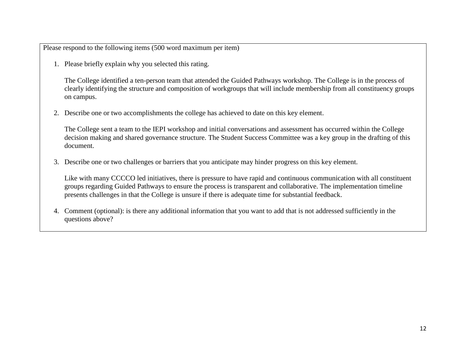1. Please briefly explain why you selected this rating.

The College identified a ten-person team that attended the Guided Pathways workshop. The College is in the process of clearly identifying the structure and composition of workgroups that will include membership from all constituency groups on campus.

2. Describe one or two accomplishments the college has achieved to date on this key element.

The College sent a team to the IEPI workshop and initial conversations and assessment has occurred within the College decision making and shared governance structure. The Student Success Committee was a key group in the drafting of this document.

3. Describe one or two challenges or barriers that you anticipate may hinder progress on this key element.

Like with many CCCCO led initiatives, there is pressure to have rapid and continuous communication with all constituent groups regarding Guided Pathways to ensure the process is transparent and collaborative. The implementation timeline presents challenges in that the College is unsure if there is adequate time for substantial feedback.

4. Comment (optional): is there any additional information that you want to add that is not addressed sufficiently in the questions above?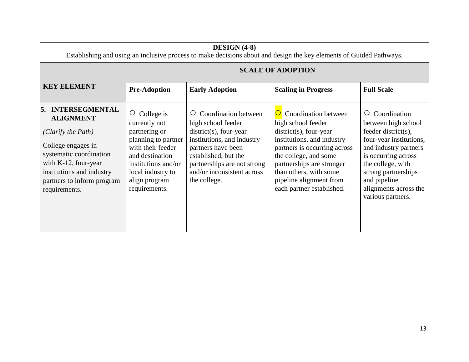| <b>DESIGN</b> (4-8)<br>Establishing and using an inclusive process to make decisions about and design the key elements of Guided Pathways.                                                                                  |                                                                                                                                                                                                   |                                                                                                                                                                                                                                             |                                                                                                                                                                                                                                                                               |                                                                                                                                                                                                                                                      |  |  |
|-----------------------------------------------------------------------------------------------------------------------------------------------------------------------------------------------------------------------------|---------------------------------------------------------------------------------------------------------------------------------------------------------------------------------------------------|---------------------------------------------------------------------------------------------------------------------------------------------------------------------------------------------------------------------------------------------|-------------------------------------------------------------------------------------------------------------------------------------------------------------------------------------------------------------------------------------------------------------------------------|------------------------------------------------------------------------------------------------------------------------------------------------------------------------------------------------------------------------------------------------------|--|--|
|                                                                                                                                                                                                                             |                                                                                                                                                                                                   | <b>SCALE OF ADOPTION</b>                                                                                                                                                                                                                    |                                                                                                                                                                                                                                                                               |                                                                                                                                                                                                                                                      |  |  |
| <b>KEY ELEMENT</b>                                                                                                                                                                                                          | <b>Pre-Adoption</b>                                                                                                                                                                               | <b>Early Adoption</b>                                                                                                                                                                                                                       | <b>Scaling in Progress</b>                                                                                                                                                                                                                                                    | <b>Full Scale</b>                                                                                                                                                                                                                                    |  |  |
| <b>INTERSEGMENTAL</b><br>I5.<br><b>ALIGNMENT</b><br>(Clarify the Path)<br>College engages in<br>systematic coordination<br>with K-12, four-year<br>institutions and industry<br>partners to inform program<br>requirements. | $\circ$ College is<br>currently not<br>partnering or<br>planning to partner<br>with their feeder<br>and destination<br>institutions and/or<br>local industry to<br>align program<br>requirements. | Coordination between<br>$\circ$<br>high school feeder<br>$district(s)$ , four-year<br>institutions, and industry<br>partners have been<br>established, but the<br>partnerships are not strong<br>and/or inconsistent across<br>the college. | Coordination between<br>high school feeder<br>$district(s)$ , four-year<br>institutions, and industry<br>partners is occurring across<br>the college, and some<br>partnerships are stronger<br>than others, with some<br>pipeline alignment from<br>each partner established. | Coordination<br>Ő<br>between high school<br>feeder district(s),<br>four-year institutions,<br>and industry partners<br>is occurring across<br>the college, with<br>strong partnerships<br>and pipeline<br>alignments across the<br>various partners. |  |  |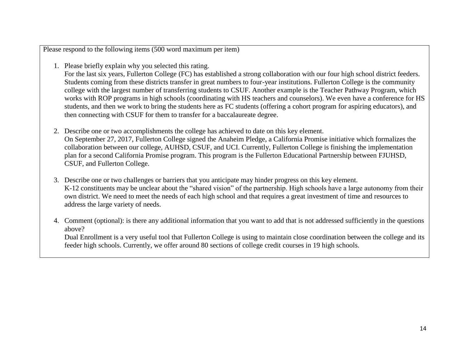1. Please briefly explain why you selected this rating.

For the last six years, Fullerton College (FC) has established a strong collaboration with our four high school district feeders. Students coming from these districts transfer in great numbers to four-year institutions. Fullerton College is the community college with the largest number of transferring students to CSUF. Another example is the Teacher Pathway Program, which works with ROP programs in high schools (coordinating with HS teachers and counselors). We even have a conference for HS students, and then we work to bring the students here as FC students (offering a cohort program for aspiring educators), and then connecting with CSUF for them to transfer for a baccalaureate degree.

- 2. Describe one or two accomplishments the college has achieved to date on this key element. On September 27, 2017, Fullerton College signed the Anaheim Pledge, a California Promise initiative which formalizes the collaboration between our college, AUHSD, CSUF, and UCI. Currently, Fullerton College is finishing the implementation plan for a second California Promise program. This program is the Fullerton Educational Partnership between FJUHSD, CSUF, and Fullerton College.
- 3. Describe one or two challenges or barriers that you anticipate may hinder progress on this key element. K-12 constituents may be unclear about the "shared vision" of the partnership. High schools have a large autonomy from their own district. We need to meet the needs of each high school and that requires a great investment of time and resources to address the large variety of needs.
- 4. Comment (optional): is there any additional information that you want to add that is not addressed sufficiently in the questions above?

Dual Enrollment is a very useful tool that Fullerton College is using to maintain close coordination between the college and its feeder high schools. Currently, we offer around 80 sections of college credit courses in 19 high schools.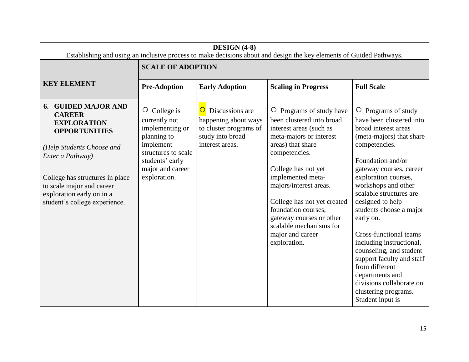| DESIGN (4-8)<br>Establishing and using an inclusive process to make decisions about and design the key elements of Guided Pathways.                                                                           |                                                                                                                                                                  |                                                                                                                            |                                                                                                                                                                                                                               |                                                                                                                                                                                                                                                                                                                       |  |
|---------------------------------------------------------------------------------------------------------------------------------------------------------------------------------------------------------------|------------------------------------------------------------------------------------------------------------------------------------------------------------------|----------------------------------------------------------------------------------------------------------------------------|-------------------------------------------------------------------------------------------------------------------------------------------------------------------------------------------------------------------------------|-----------------------------------------------------------------------------------------------------------------------------------------------------------------------------------------------------------------------------------------------------------------------------------------------------------------------|--|
|                                                                                                                                                                                                               | <b>SCALE OF ADOPTION</b>                                                                                                                                         |                                                                                                                            |                                                                                                                                                                                                                               |                                                                                                                                                                                                                                                                                                                       |  |
| <b>KEY ELEMENT</b>                                                                                                                                                                                            | <b>Pre-Adoption</b>                                                                                                                                              | <b>Early Adoption</b>                                                                                                      | <b>Scaling in Progress</b>                                                                                                                                                                                                    | <b>Full Scale</b>                                                                                                                                                                                                                                                                                                     |  |
| <b>GUIDED MAJOR AND</b><br>6.<br><b>CAREER</b><br><b>EXPLORATION</b><br><b>OPPORTUNITIES</b><br>(Help Students Choose and<br>Enter a Pathway)<br>College has structures in place<br>to scale major and career | $\circ$ College is<br>currently not<br>implementing or<br>planning to<br>implement<br>structures to scale<br>students' early<br>major and career<br>exploration. | $\overline{O}$<br>Discussions are<br>happening about ways<br>to cluster programs of<br>study into broad<br>interest areas. | $\circ$ Programs of study have<br>been clustered into broad<br>interest areas (such as<br>meta-majors or interest<br>areas) that share<br>competencies.<br>College has not yet<br>implemented meta-<br>majors/interest areas. | Programs of study<br>$\circ$<br>have been clustered into<br>broad interest areas<br>(meta-majors) that share<br>competencies.<br>Foundation and/or<br>gateway courses, career<br>exploration courses,<br>workshops and other                                                                                          |  |
| exploration early on in a<br>student's college experience.                                                                                                                                                    |                                                                                                                                                                  |                                                                                                                            | College has not yet created<br>foundation courses.<br>gateway courses or other<br>scalable mechanisms for<br>major and career<br>exploration.                                                                                 | scalable structures are<br>designed to help<br>students choose a major<br>early on.<br><b>Cross-functional teams</b><br>including instructional,<br>counseling, and student<br>support faculty and staff<br>from different<br>departments and<br>divisions collaborate on<br>clustering programs.<br>Student input is |  |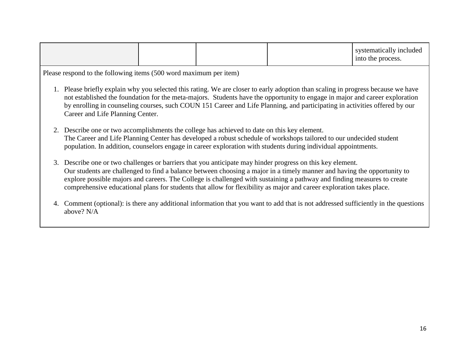|  |  |  |  | systematically included<br>into the process. |
|--|--|--|--|----------------------------------------------|
|--|--|--|--|----------------------------------------------|

- 1. Please briefly explain why you selected this rating. We are closer to early adoption than scaling in progress because we have not established the foundation for the meta-majors. Students have the opportunity to engage in major and career exploration by enrolling in counseling courses, such COUN 151 Career and Life Planning, and participating in activities offered by our Career and Life Planning Center.
- 2. Describe one or two accomplishments the college has achieved to date on this key element. The Career and Life Planning Center has developed a robust schedule of workshops tailored to our undecided student population. In addition, counselors engage in career exploration with students during individual appointments.
- 3. Describe one or two challenges or barriers that you anticipate may hinder progress on this key element. Our students are challenged to find a balance between choosing a major in a timely manner and having the opportunity to explore possible majors and careers. The College is challenged with sustaining a pathway and finding measures to create comprehensive educational plans for students that allow for flexibility as major and career exploration takes place.
- 4. Comment (optional): is there any additional information that you want to add that is not addressed sufficiently in the questions above? N/A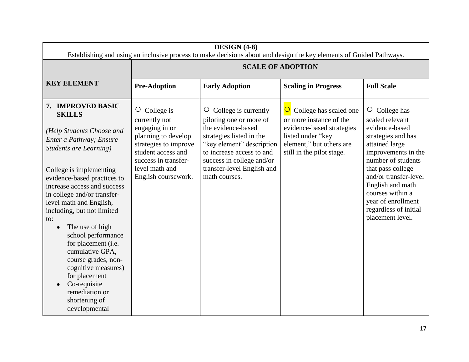| DESIGN (4-8)<br>Establishing and using an inclusive process to make decisions about and design the key elements of Guided Pathways.                                                                                                                                                                                                                                                                                                        |                                                                                                                                                                                              |                                                                                                                                                                                                                                                 |                                                                                                                                                                                |                                                                                                                                                                                                                                                                                                        |
|--------------------------------------------------------------------------------------------------------------------------------------------------------------------------------------------------------------------------------------------------------------------------------------------------------------------------------------------------------------------------------------------------------------------------------------------|----------------------------------------------------------------------------------------------------------------------------------------------------------------------------------------------|-------------------------------------------------------------------------------------------------------------------------------------------------------------------------------------------------------------------------------------------------|--------------------------------------------------------------------------------------------------------------------------------------------------------------------------------|--------------------------------------------------------------------------------------------------------------------------------------------------------------------------------------------------------------------------------------------------------------------------------------------------------|
|                                                                                                                                                                                                                                                                                                                                                                                                                                            | <b>SCALE OF ADOPTION</b>                                                                                                                                                                     |                                                                                                                                                                                                                                                 |                                                                                                                                                                                |                                                                                                                                                                                                                                                                                                        |
| <b>KEY ELEMENT</b>                                                                                                                                                                                                                                                                                                                                                                                                                         | <b>Pre-Adoption</b>                                                                                                                                                                          | <b>Early Adoption</b>                                                                                                                                                                                                                           | <b>Scaling in Progress</b>                                                                                                                                                     | <b>Full Scale</b>                                                                                                                                                                                                                                                                                      |
| 7. IMPROVED BASIC<br><b>SKILLS</b><br>(Help Students Choose and<br>Enter a Pathway; Ensure<br><b>Students are Learning)</b><br>College is implementing<br>evidence-based practices to<br>increase access and success<br>in college and/or transfer-<br>level math and English,<br>including, but not limited<br>to:<br>The use of high<br>$\bullet$<br>school performance<br>for placement (i.e.<br>cumulative GPA,<br>course grades, non- | $\circ$ College is<br>currently not<br>engaging in or<br>planning to develop<br>strategies to improve<br>student access and<br>success in transfer-<br>level math and<br>English coursework. | $\circ$ College is currently<br>piloting one or more of<br>the evidence-based<br>strategies listed in the<br>"key element" description<br>to increase access to and<br>success in college and/or<br>transfer-level English and<br>math courses. | $\overline{O}$<br>College has scaled one<br>or more instance of the<br>evidence-based strategies<br>listed under "key<br>element," but others are<br>still in the pilot stage. | $\circ$ College has<br>scaled relevant<br>evidence-based<br>strategies and has<br>attained large<br>improvements in the<br>number of students<br>that pass college<br>and/or transfer-level<br>English and math<br>courses within a<br>year of enrollment<br>regardless of initial<br>placement level. |
| cognitive measures)<br>for placement<br>Co-requisite<br>remediation or<br>shortening of<br>developmental                                                                                                                                                                                                                                                                                                                                   |                                                                                                                                                                                              |                                                                                                                                                                                                                                                 |                                                                                                                                                                                |                                                                                                                                                                                                                                                                                                        |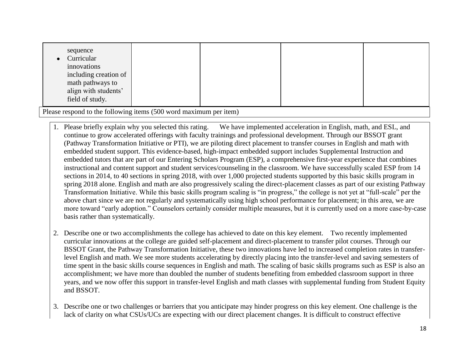| sequence<br>Curricular<br>innovations<br>including creation of<br>math pathways to<br>align with students'<br>field of study. |  |  |  |  |
|-------------------------------------------------------------------------------------------------------------------------------|--|--|--|--|
| Please respond to the following items (500 word maximum per item)                                                             |  |  |  |  |

- 1. Please briefly explain why you selected this rating. We have implemented acceleration in English, math, and ESL, and continue to grow accelerated offerings with faculty trainings and professional development. Through our BSSOT grant (Pathway Transformation Initiative or PTI), we are piloting direct placement to transfer courses in English and math with embedded student support. This evidence-based, high-impact embedded support includes Supplemental Instruction and embedded tutors that are part of our Entering Scholars Program (ESP), a comprehensive first-year experience that combines instructional and content support and student services/counseling in the classroom. We have successfully scaled ESP from 14 sections in 2014, to 40 sections in spring 2018, with over 1,000 projected students supported by this basic skills program in spring 2018 alone. English and math are also progressively scaling the direct-placement classes as part of our existing Pathway Transformation Initiative. While this basic skills program scaling is "in progress," the college is not yet at "full-scale" per the above chart since we are not regularly and systematically using high school performance for placement; in this area, we are more toward "early adoption." Counselors certainly consider multiple measures, but it is currently used on a more case-by-case basis rather than systematically.
- 2. Describe one or two accomplishments the college has achieved to date on this key element. Two recently implemented curricular innovations at the college are guided self-placement and direct-placement to transfer pilot courses. Through our BSSOT Grant, the Pathway Transformation Initiative, these two innovations have led to increased completion rates in transferlevel English and math. We see more students accelerating by directly placing into the transfer-level and saving semesters of time spent in the basic skills course sequences in English and math. The scaling of basic skills programs such as ESP is also an accomplishment; we have more than doubled the number of students benefiting from embedded classroom support in three years, and we now offer this support in transfer-level English and math classes with supplemental funding from Student Equity and BSSOT.
- 3. Describe one or two challenges or barriers that you anticipate may hinder progress on this key element. One challenge is the lack of clarity on what CSUs/UCs are expecting with our direct placement changes. It is difficult to construct effective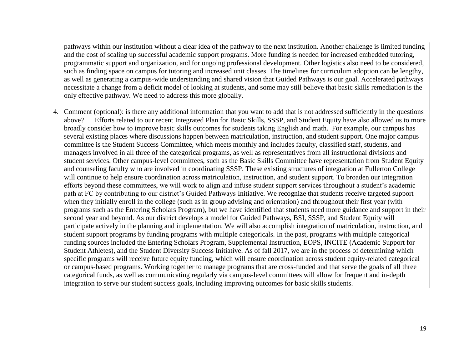pathways within our institution without a clear idea of the pathway to the next institution. Another challenge is limited funding and the cost of scaling up successful academic support programs. More funding is needed for increased embedded tutoring, programmatic support and organization, and for ongoing professional development. Other logistics also need to be considered, such as finding space on campus for tutoring and increased unit classes. The timelines for curriculum adoption can be lengthy, as well as generating a campus-wide understanding and shared vision that Guided Pathways is our goal. Accelerated pathways necessitate a change from a deficit model of looking at students, and some may still believe that basic skills remediation is the only effective pathway. We need to address this more globally.

4. Comment (optional): is there any additional information that you want to add that is not addressed sufficiently in the questions above? Efforts related to our recent Integrated Plan for Basic Skills, SSSP, and Student Equity have also allowed us to more broadly consider how to improve basic skills outcomes for students taking English and math. For example, our campus has several existing places where discussions happen between matriculation, instruction, and student support. One major campus committee is the Student Success Committee, which meets monthly and includes faculty, classified staff, students, and managers involved in all three of the categorical programs, as well as representatives from all instructional divisions and student services. Other campus-level committees, such as the Basic Skills Committee have representation from Student Equity and counseling faculty who are involved in coordinating SSSP. These existing structures of integration at Fullerton College will continue to help ensure coordination across matriculation, instruction, and student support. To broaden our integration efforts beyond these committees, we will work to align and infuse student support services throughout a student's academic path at FC by contributing to our district's Guided Pathways Initiative. We recognize that students receive targeted support when they initially enroll in the college (such as in group advising and orientation) and throughout their first year (with programs such as the Entering Scholars Program), but we have identified that students need more guidance and support in their second year and beyond. As our district develops a model for Guided Pathways, BSI, SSSP, and Student Equity will participate actively in the planning and implementation. We will also accomplish integration of matriculation, instruction, and student support programs by funding programs with multiple categoricals. In the past, programs with multiple categorical funding sources included the Entering Scholars Program, Supplemental Instruction, EOPS, INCITE (Academic Support for Student Athletes), and the Student Diversity Success Initiative. As of fall 2017, we are in the process of determining which specific programs will receive future equity funding, which will ensure coordination across student equity-related categorical or campus-based programs. Working together to manage programs that are cross-funded and that serve the goals of all three categorical funds, as well as communicating regularly via campus-level committees will allow for frequent and in-depth integration to serve our student success goals, including improving outcomes for basic skills students.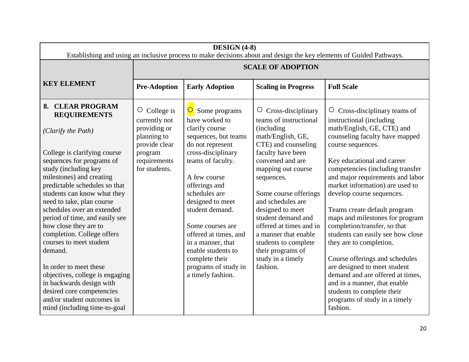| DESIGN (4-8)<br>Establishing and using an inclusive process to make decisions about and design the key elements of Guided Pathways.                                                                                                                                                                                                                                                                                                                                                                                                                                                          |                                                                                                                                 |                                                                                                                                                                                                                                                                                                                                                                                          |                                                                                                                                                                                                                                                                                                                                                                                                                       |                                                                                                                                                                                                                                                                                                                                                                                                                                                                                                                                                                                                                                                                                                    |  |
|----------------------------------------------------------------------------------------------------------------------------------------------------------------------------------------------------------------------------------------------------------------------------------------------------------------------------------------------------------------------------------------------------------------------------------------------------------------------------------------------------------------------------------------------------------------------------------------------|---------------------------------------------------------------------------------------------------------------------------------|------------------------------------------------------------------------------------------------------------------------------------------------------------------------------------------------------------------------------------------------------------------------------------------------------------------------------------------------------------------------------------------|-----------------------------------------------------------------------------------------------------------------------------------------------------------------------------------------------------------------------------------------------------------------------------------------------------------------------------------------------------------------------------------------------------------------------|----------------------------------------------------------------------------------------------------------------------------------------------------------------------------------------------------------------------------------------------------------------------------------------------------------------------------------------------------------------------------------------------------------------------------------------------------------------------------------------------------------------------------------------------------------------------------------------------------------------------------------------------------------------------------------------------------|--|
|                                                                                                                                                                                                                                                                                                                                                                                                                                                                                                                                                                                              | <b>SCALE OF ADOPTION</b>                                                                                                        |                                                                                                                                                                                                                                                                                                                                                                                          |                                                                                                                                                                                                                                                                                                                                                                                                                       |                                                                                                                                                                                                                                                                                                                                                                                                                                                                                                                                                                                                                                                                                                    |  |
| <b>KEY ELEMENT</b>                                                                                                                                                                                                                                                                                                                                                                                                                                                                                                                                                                           | <b>Pre-Adoption</b>                                                                                                             | <b>Early Adoption</b>                                                                                                                                                                                                                                                                                                                                                                    | <b>Scaling in Progress</b>                                                                                                                                                                                                                                                                                                                                                                                            | <b>Full Scale</b>                                                                                                                                                                                                                                                                                                                                                                                                                                                                                                                                                                                                                                                                                  |  |
| 8. CLEAR PROGRAM<br><b>REQUIREMENTS</b><br>(Clarify the Path)<br>College is clarifying course<br>sequences for programs of<br>study (including key<br>milestones) and creating<br>predictable schedules so that<br>students can know what they<br>need to take, plan course<br>schedules over an extended<br>period of time, and easily see<br>how close they are to<br>completion. College offers<br>courses to meet student<br>demand.<br>In order to meet these<br>objectives, college is engaging<br>in backwards design with<br>desired core competencies<br>and/or student outcomes in | $\circ$ College is<br>currently not<br>providing or<br>planning to<br>provide clear<br>program<br>requirements<br>for students. | Some programs<br>have worked to<br>clarify course<br>sequences, but teams<br>do not represent<br>cross-disciplinary<br>teams of faculty.<br>A few course<br>offerings and<br>schedules are<br>designed to meet<br>student demand.<br>Some courses are<br>offered at times, and<br>in a manner, that<br>enable students to<br>complete their<br>programs of study in<br>a timely fashion. | $\circ$ Cross-disciplinary<br>teams of instructional<br>(including)<br>math/English, GE,<br>CTE) and counseling<br>faculty have been<br>convened and are<br>mapping out course<br>sequences.<br>Some course offerings<br>and schedules are<br>designed to meet<br>student demand and<br>offered at times and in<br>a manner that enable<br>students to complete<br>their programs of<br>study in a timely<br>fashion. | $\circ$ Cross-disciplinary teams of<br>instructional (including<br>math/English, GE, CTE) and<br>counseling faculty have mapped<br>course sequences.<br>Key educational and career<br>competencies (including transfer<br>and major requirements and labor<br>market information) are used to<br>develop course sequences.<br>Teams create default program<br>maps and milestones for program<br>completion/transfer, so that<br>students can easily see how close<br>they are to completion.<br>Course offerings and schedules<br>are designed to meet student<br>demand and are offered at times,<br>and in a manner, that enable<br>students to complete their<br>programs of study in a timely |  |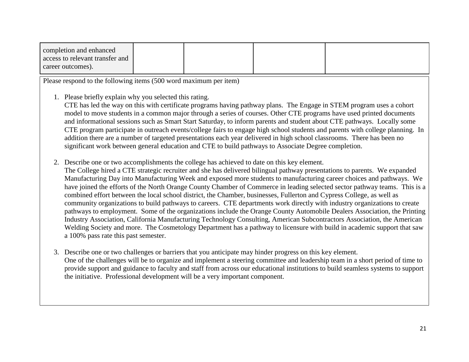| completion and enhanced         |  |  |
|---------------------------------|--|--|
| access to relevant transfer and |  |  |
| career outcomes).               |  |  |

1. Please briefly explain why you selected this rating.

CTE has led the way on this with certificate programs having pathway plans. The Engage in STEM program uses a cohort model to move students in a common major through a series of courses. Other CTE programs have used printed documents and informational sessions such as Smart Start Saturday, to inform parents and student about CTE pathways. Locally some CTE program participate in outreach events/college fairs to engage high school students and parents with college planning. In addition there are a number of targeted presentations each year delivered in high school classrooms. There has been no significant work between general education and CTE to build pathways to Associate Degree completion.

2. Describe one or two accomplishments the college has achieved to date on this key element.

The College hired a CTE strategic recruiter and she has delivered bilingual pathway presentations to parents. We expanded Manufacturing Day into Manufacturing Week and exposed more students to manufacturing career choices and pathways. We have joined the efforts of the North Orange County Chamber of Commerce in leading selected sector pathway teams. This is a combined effort between the local school district, the Chamber, businesses, Fullerton and Cypress College, as well as community organizations to build pathways to careers. CTE departments work directly with industry organizations to create pathways to employment. Some of the organizations include the Orange County Automobile Dealers Association, the Printing Industry Association, California Manufacturing Technology Consulting, American Subcontractors Association, the American Welding Society and more. The Cosmetology Department has a pathway to licensure with build in academic support that saw a 100% pass rate this past semester.

3. Describe one or two challenges or barriers that you anticipate may hinder progress on this key element. One of the challenges will be to organize and implement a steering committee and leadership team in a short period of time to provide support and guidance to faculty and staff from across our educational institutions to build seamless systems to support the initiative. Professional development will be a very important component.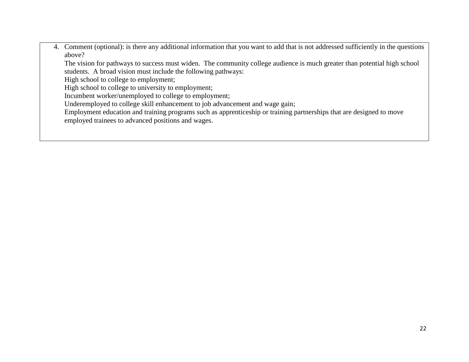4. Comment (optional): is there any additional information that you want to add that is not addressed sufficiently in the questions above?

The vision for pathways to success must widen. The community college audience is much greater than potential high school students. A broad vision must include the following pathways:

High school to college to employment;

High school to college to university to employment;

Incumbent worker/unemployed to college to employment;

Underemployed to college skill enhancement to job advancement and wage gain;

Employment education and training programs such as apprenticeship or training partnerships that are designed to move employed trainees to advanced positions and wages.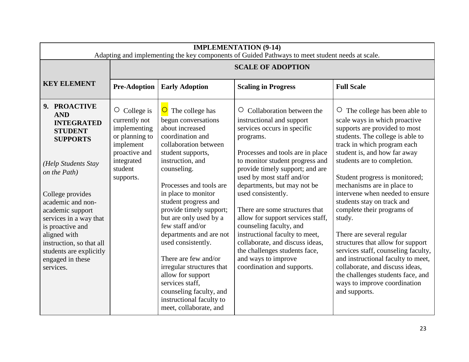| <b>IMPLEMENTATION (9-14)</b><br>Adapting and implementing the key components of Guided Pathways to meet student needs at scale.                                                             |                                                                                                                                           |                                                                                                                                                                                                                                                                                                                              |                                                                                                                                                                                                                                                                                                           |                                                                                                                                                                                                                                                                                                                                             |  |  |  |
|---------------------------------------------------------------------------------------------------------------------------------------------------------------------------------------------|-------------------------------------------------------------------------------------------------------------------------------------------|------------------------------------------------------------------------------------------------------------------------------------------------------------------------------------------------------------------------------------------------------------------------------------------------------------------------------|-----------------------------------------------------------------------------------------------------------------------------------------------------------------------------------------------------------------------------------------------------------------------------------------------------------|---------------------------------------------------------------------------------------------------------------------------------------------------------------------------------------------------------------------------------------------------------------------------------------------------------------------------------------------|--|--|--|
|                                                                                                                                                                                             |                                                                                                                                           | <b>SCALE OF ADOPTION</b>                                                                                                                                                                                                                                                                                                     |                                                                                                                                                                                                                                                                                                           |                                                                                                                                                                                                                                                                                                                                             |  |  |  |
| <b>KEY ELEMENT</b>                                                                                                                                                                          | <b>Pre-Adoption</b>                                                                                                                       | <b>Early Adoption</b>                                                                                                                                                                                                                                                                                                        | <b>Scaling in Progress</b>                                                                                                                                                                                                                                                                                | <b>Full Scale</b>                                                                                                                                                                                                                                                                                                                           |  |  |  |
| 9. PROACTIVE<br><b>AND</b><br><b>INTEGRATED</b><br><b>STUDENT</b><br><b>SUPPORTS</b><br>(Help Students Stay<br>on the Path)<br>College provides                                             | $\circ$ College is<br>currently not<br>implementing<br>or planning to<br>implement<br>proactive and<br>integrated<br>student<br>supports. | $\overline{O}$ The college has<br>begun conversations<br>about increased<br>coordination and<br>collaboration between<br>student supports,<br>instruction, and<br>counseling.<br>Processes and tools are<br>in place to monitor                                                                                              | Collaboration between the<br>$\circ$<br>instructional and support<br>services occurs in specific<br>programs.<br>Processes and tools are in place<br>to monitor student progress and<br>provide timely support; and are<br>used by most staff and/or<br>departments, but may not be<br>used consistently. | $\circ$ The college has been able to<br>scale ways in which proactive<br>supports are provided to most<br>students. The college is able to<br>track in which program each<br>student is, and how far away<br>students are to completion.<br>Student progress is monitored;<br>mechanisms are in place to<br>intervene when needed to ensure |  |  |  |
| academic and non-<br>academic support<br>services in a way that<br>is proactive and<br>aligned with<br>instruction, so that all<br>students are explicitly<br>engaged in these<br>services. |                                                                                                                                           | student progress and<br>provide timely support;<br>but are only used by a<br>few staff and/or<br>departments and are not<br>used consistently.<br>There are few and/or<br>irregular structures that<br>allow for support<br>services staff,<br>counseling faculty, and<br>instructional faculty to<br>meet, collaborate, and | There are some structures that<br>allow for support services staff,<br>counseling faculty, and<br>instructional faculty to meet,<br>collaborate, and discuss ideas,<br>the challenges students face,<br>and ways to improve<br>coordination and supports.                                                 | students stay on track and<br>complete their programs of<br>study.<br>There are several regular<br>structures that allow for support<br>services staff, counseling faculty,<br>and instructional faculty to meet,<br>collaborate, and discuss ideas,<br>the challenges students face, and<br>ways to improve coordination<br>and supports.  |  |  |  |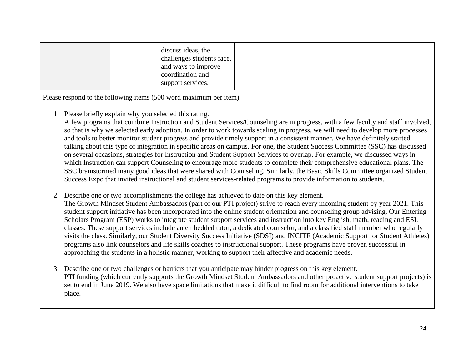1. Please briefly explain why you selected this rating.

A few programs that combine Instruction and Student Services/Counseling are in progress, with a few faculty and staff involved, so that is why we selected early adoption. In order to work towards scaling in progress, we will need to develop more processes and tools to better monitor student progress and provide timely support in a consistent manner. We have definitely started talking about this type of integration in specific areas on campus. For one, the Student Success Committee (SSC) has discussed on several occasions, strategies for Instruction and Student Support Services to overlap. For example, we discussed ways in which Instruction can support Counseling to encourage more students to complete their comprehensive educational plans. The SSC brainstormed many good ideas that were shared with Counseling. Similarly, the Basic Skills Committee organized Student Success Expo that invited instructional and student services-related programs to provide information to students.

- 2. Describe one or two accomplishments the college has achieved to date on this key element. The Growth Mindset Student Ambassadors (part of our PTI project) strive to reach every incoming student by year 2021. This student support initiative has been incorporated into the online student orientation and counseling group advising. Our Entering Scholars Program (ESP) works to integrate student support services and instruction into key English, math, reading and ESL classes. These support services include an embedded tutor, a dedicated counselor, and a classified staff member who regularly visits the class. Similarly, our Student Diversity Success Initiative (SDSI) and INCITE (Academic Support for Student Athletes) programs also link counselors and life skills coaches to instructional support. These programs have proven successful in approaching the students in a holistic manner, working to support their affective and academic needs.
- 3. Describe one or two challenges or barriers that you anticipate may hinder progress on this key element. PTI funding (which currently supports the Growth Mindset Student Ambassadors and other proactive student support projects) is set to end in June 2019. We also have space limitations that make it difficult to find room for additional interventions to take place.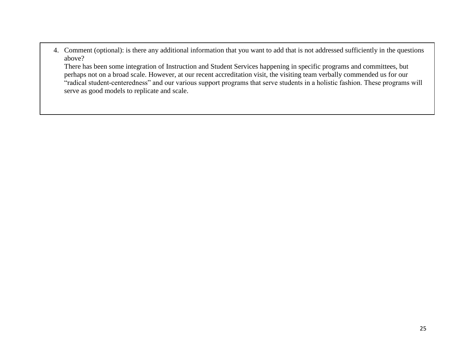4. Comment (optional): is there any additional information that you want to add that is not addressed sufficiently in the questions above?

There has been some integration of Instruction and Student Services happening in specific programs and committees, but perhaps not on a broad scale. However, at our recent accreditation visit, the visiting team verbally commended us for our "radical student-centeredness" and our various support programs that serve students in a holistic fashion. These programs will serve as good models to replicate and scale.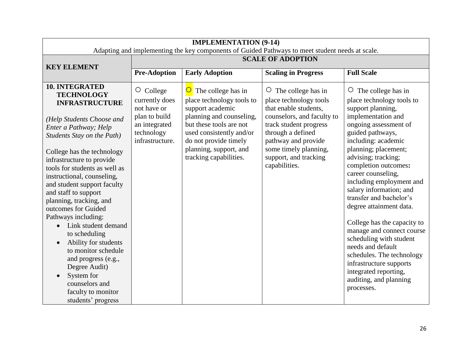| <b>IMPLEMENTATION (9-14)</b><br>Adapting and implementing the key components of Guided Pathways to meet student needs at scale.                                                                                                             |                                                                 |                                                                                                          |                                                                                                  |                                                                                                                                                                                                                                   |  |  |
|---------------------------------------------------------------------------------------------------------------------------------------------------------------------------------------------------------------------------------------------|-----------------------------------------------------------------|----------------------------------------------------------------------------------------------------------|--------------------------------------------------------------------------------------------------|-----------------------------------------------------------------------------------------------------------------------------------------------------------------------------------------------------------------------------------|--|--|
| <b>KEY ELEMENT</b>                                                                                                                                                                                                                          | <b>SCALE OF ADOPTION</b>                                        |                                                                                                          |                                                                                                  |                                                                                                                                                                                                                                   |  |  |
|                                                                                                                                                                                                                                             | <b>Pre-Adoption</b>                                             | <b>Early Adoption</b>                                                                                    | <b>Scaling in Progress</b>                                                                       | <b>Full Scale</b>                                                                                                                                                                                                                 |  |  |
| <b>10. INTEGRATED</b><br><b>TECHNOLOGY</b><br><b>INFRASTRUCTURE</b>                                                                                                                                                                         | $\circ$ College<br>currently does<br>not have or                | The college has in<br>$\overline{\mathbf{O}}$<br>place technology tools to<br>support academic           | $\circ$ The college has in<br>place technology tools<br>that enable students,                    | $\circ$<br>The college has in<br>place technology tools to<br>support planning,                                                                                                                                                   |  |  |
| (Help Students Choose and<br>Enter a Pathway; Help<br>Students Stay on the Path)                                                                                                                                                            | plan to build<br>an integrated<br>technology<br>infrastructure. | planning and counseling,<br>but these tools are not<br>used consistently and/or<br>do not provide timely | counselors, and faculty to<br>track student progress<br>through a defined<br>pathway and provide | implementation and<br>ongoing assessment of<br>guided pathways,<br>including: academic                                                                                                                                            |  |  |
| College has the technology<br>infrastructure to provide<br>tools for students as well as<br>instructional, counseling,<br>and student support faculty<br>and staff to support<br>planning, tracking, and<br>outcomes for Guided             |                                                                 | planning, support, and<br>tracking capabilities.                                                         | some timely planning,<br>support, and tracking<br>capabilities.                                  | planning; placement;<br>advising; tracking;<br>completion outcomes:<br>career counseling,<br>including employment and<br>salary information; and<br>transfer and bachelor's<br>degree attainment data.                            |  |  |
| Pathways including:<br>Link student demand<br>to scheduling<br>Ability for students<br>$\bullet$<br>to monitor schedule<br>and progress (e.g.,<br>Degree Audit)<br>System for<br>counselors and<br>faculty to monitor<br>students' progress |                                                                 |                                                                                                          |                                                                                                  | College has the capacity to<br>manage and connect course<br>scheduling with student<br>needs and default<br>schedules. The technology<br>infrastructure supports<br>integrated reporting,<br>auditing, and planning<br>processes. |  |  |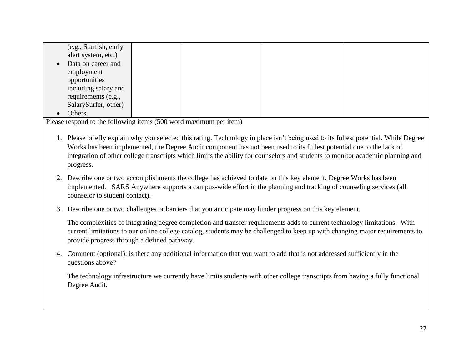| (e.g., Starfish, early |  |  |
|------------------------|--|--|
| alert system, etc.)    |  |  |
|                        |  |  |
| • Data on career and   |  |  |
| employment             |  |  |
|                        |  |  |
| opportunities          |  |  |
| including salary and   |  |  |
| requirements (e.g.,    |  |  |
|                        |  |  |
| SalarySurfer, other)   |  |  |
|                        |  |  |
| Others                 |  |  |

- 1. Please briefly explain why you selected this rating. Technology in place isn't being used to its fullest potential. While Degree Works has been implemented, the Degree Audit component has not been used to its fullest potential due to the lack of integration of other college transcripts which limits the ability for counselors and students to monitor academic planning and progress.
- 2. Describe one or two accomplishments the college has achieved to date on this key element. Degree Works has been implemented. SARS Anywhere supports a campus-wide effort in the planning and tracking of counseling services (all counselor to student contact).
- 3. Describe one or two challenges or barriers that you anticipate may hinder progress on this key element.

The complexities of integrating degree completion and transfer requirements adds to current technology limitations. With current limitations to our online college catalog, students may be challenged to keep up with changing major requirements to provide progress through a defined pathway.

4. Comment (optional): is there any additional information that you want to add that is not addressed sufficiently in the questions above?

The technology infrastructure we currently have limits students with other college transcripts from having a fully functional Degree Audit.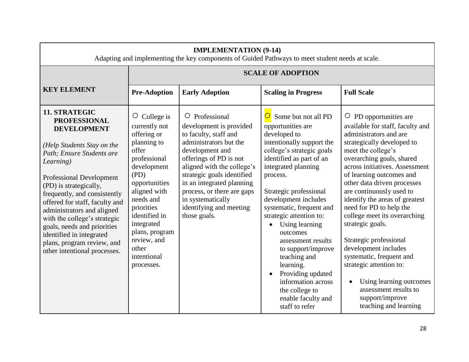| <b>IMPLEMENTATION (9-14)</b><br>Adapting and implementing the key components of Guided Pathways to meet student needs at scale.                                                                                                                                                                                                                                                                                                                          |                                                                                                                                                                                                                                                                                  |                                                                                                                                                                                                                                                                                                                                        |                                                                                                                                                                                                                                                                                                                                                                                                                                                                                                                     |                                                                                                                                                                                                                                                                                                                                                                                                                                                                                                                                                                                                                                |  |  |  |
|----------------------------------------------------------------------------------------------------------------------------------------------------------------------------------------------------------------------------------------------------------------------------------------------------------------------------------------------------------------------------------------------------------------------------------------------------------|----------------------------------------------------------------------------------------------------------------------------------------------------------------------------------------------------------------------------------------------------------------------------------|----------------------------------------------------------------------------------------------------------------------------------------------------------------------------------------------------------------------------------------------------------------------------------------------------------------------------------------|---------------------------------------------------------------------------------------------------------------------------------------------------------------------------------------------------------------------------------------------------------------------------------------------------------------------------------------------------------------------------------------------------------------------------------------------------------------------------------------------------------------------|--------------------------------------------------------------------------------------------------------------------------------------------------------------------------------------------------------------------------------------------------------------------------------------------------------------------------------------------------------------------------------------------------------------------------------------------------------------------------------------------------------------------------------------------------------------------------------------------------------------------------------|--|--|--|
|                                                                                                                                                                                                                                                                                                                                                                                                                                                          |                                                                                                                                                                                                                                                                                  | <b>SCALE OF ADOPTION</b>                                                                                                                                                                                                                                                                                                               |                                                                                                                                                                                                                                                                                                                                                                                                                                                                                                                     |                                                                                                                                                                                                                                                                                                                                                                                                                                                                                                                                                                                                                                |  |  |  |
| <b>KEY ELEMENT</b>                                                                                                                                                                                                                                                                                                                                                                                                                                       | <b>Pre-Adoption</b>                                                                                                                                                                                                                                                              | <b>Early Adoption</b>                                                                                                                                                                                                                                                                                                                  | <b>Scaling in Progress</b>                                                                                                                                                                                                                                                                                                                                                                                                                                                                                          | <b>Full Scale</b>                                                                                                                                                                                                                                                                                                                                                                                                                                                                                                                                                                                                              |  |  |  |
| 11. STRATEGIC<br><b>PROFESSIONAL</b><br><b>DEVELOPMENT</b><br>(Help Students Stay on the<br>Path; Ensure Students are<br>Learning)<br><b>Professional Development</b><br>(PD) is strategically,<br>frequently, and consistently<br>offered for staff, faculty and<br>administrators and aligned<br>with the college's strategic<br>goals, needs and priorities<br>identified in integrated<br>plans, program review, and<br>other intentional processes. | College is<br>O<br>currently not<br>offering or<br>planning to<br>offer<br>professional<br>development<br>(PD)<br>opportunities<br>aligned with<br>needs and<br>priorities<br>identified in<br>integrated<br>plans, program<br>review, and<br>other<br>intentional<br>processes. | $\circ$ Professional<br>development is provided<br>to faculty, staff and<br>administrators but the<br>development and<br>offerings of PD is not<br>aligned with the college's<br>strategic goals identified<br>in an integrated planning<br>process, or there are gaps<br>in systematically<br>identifying and meeting<br>those goals. | Some but not all PD<br>opportunities are<br>developed to<br>intentionally support the<br>college's strategic goals<br>identified as part of an<br>integrated planning<br>process.<br>Strategic professional<br>development includes<br>systematic, frequent and<br>strategic attention to:<br>Using learning<br>$\bullet$<br>outcomes<br>assessment results<br>to support/improve<br>teaching and<br>learning.<br>Providing updated<br>information across<br>the college to<br>enable faculty and<br>staff to refer | $\circ$ PD opportunities are<br>available for staff, faculty and<br>administrators and are<br>strategically developed to<br>meet the college's<br>overarching goals, shared<br>across initiatives. Assessment<br>of learning outcomes and<br>other data driven processes<br>are continuously used to<br>identify the areas of greatest<br>need for PD to help the<br>college meet its overarching<br>strategic goals.<br>Strategic professional<br>development includes<br>systematic, frequent and<br>strategic attention to:<br>Using learning outcomes<br>assessment results to<br>support/improve<br>teaching and learning |  |  |  |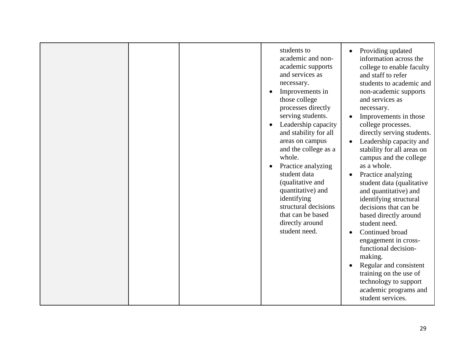|  | students to<br>academic and non-<br>academic supports<br>and services as<br>necessary.<br>Improvements in<br>those college<br>processes directly<br>serving students.<br>Leadership capacity<br>and stability for all<br>areas on campus<br>and the college as a<br>whole.<br>Practice analyzing<br>student data<br>(qualitative and<br>quantitative) and<br>identifying<br>structural decisions<br>that can be based<br>directly around<br>student need. | Providing updated<br>information across the<br>college to enable faculty<br>and staff to refer<br>students to academic and<br>non-academic supports<br>and services as<br>necessary.<br>Improvements in those<br>college processes.<br>directly serving students.<br>Leadership capacity and<br>stability for all areas on<br>campus and the college<br>as a whole.<br>Practice analyzing<br>student data (qualitative<br>and quantitative) and<br>identifying structural<br>decisions that can be<br>based directly around<br>student need.<br>Continued broad<br>engagement in cross-<br>functional decision-<br>making.<br>Regular and consistent<br>training on the use of<br>technology to support<br>academic programs and<br>student services. |
|--|-----------------------------------------------------------------------------------------------------------------------------------------------------------------------------------------------------------------------------------------------------------------------------------------------------------------------------------------------------------------------------------------------------------------------------------------------------------|-------------------------------------------------------------------------------------------------------------------------------------------------------------------------------------------------------------------------------------------------------------------------------------------------------------------------------------------------------------------------------------------------------------------------------------------------------------------------------------------------------------------------------------------------------------------------------------------------------------------------------------------------------------------------------------------------------------------------------------------------------|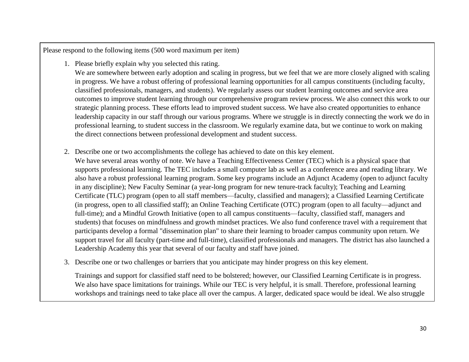- 1. Please briefly explain why you selected this rating. We are somewhere between early adoption and scaling in progress, but we feel that we are more closely aligned with scaling in progress. We have a robust offering of professional learning opportunities for all campus constituents (including faculty, classified professionals, managers, and students). We regularly assess our student learning outcomes and service area outcomes to improve student learning through our comprehensive program review process. We also connect this work to our strategic planning process. These efforts lead to improved student success. We have also created opportunities to enhance leadership capacity in our staff through our various programs. Where we struggle is in directly connecting the work we do in professional learning, to student success in the classroom. We regularly examine data, but we continue to work on making the direct connections between professional development and student success.
- 2. Describe one or two accomplishments the college has achieved to date on this key element.
	- We have several areas worthy of note. We have a Teaching Effectiveness Center (TEC) which is a physical space that supports professional learning. The TEC includes a small computer lab as well as a conference area and reading library. We also have a robust professional learning program. Some key programs include an Adjunct Academy (open to adjunct faculty in any discipline); New Faculty Seminar (a year-long program for new tenure-track faculty); Teaching and Learning Certificate (TLC) program (open to all staff members—faculty, classified and managers); a Classified Learning Certificate (in progress, open to all classified staff); an Online Teaching Certificate (OTC) program (open to all faculty—adjunct and full-time); and a Mindful Growth Initiative (open to all campus constituents—faculty, classified staff, managers and students) that focuses on mindfulness and growth mindset practices. We also fund conference travel with a requirement that participants develop a formal "dissemination plan" to share their learning to broader campus community upon return. We support travel for all faculty (part-time and full-time), classified professionals and managers. The district has also launched a Leadership Academy this year that several of our faculty and staff have joined.
- 3. Describe one or two challenges or barriers that you anticipate may hinder progress on this key element.

Trainings and support for classified staff need to be bolstered; however, our Classified Learning Certificate is in progress. We also have space limitations for trainings. While our TEC is very helpful, it is small. Therefore, professional learning workshops and trainings need to take place all over the campus. A larger, dedicated space would be ideal. We also struggle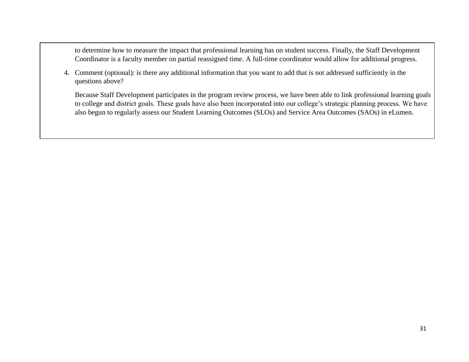to determine how to measure the impact that professional learning has on student success. Finally, the Staff Development Coordinator is a faculty member on partial reassigned time. A full-time coordinator would allow for additional progress.

4. Comment (optional): is there any additional information that you want to add that is not addressed sufficiently in the questions above?

Because Staff Development participates in the program review process, we have been able to link professional learning goals to college and district goals. These goals have also been incorporated into our college's strategic planning process. We have also begun to regularly assess our Student Learning Outcomes (SLOs) and Service Area Outcomes (SAOs) in eLumen.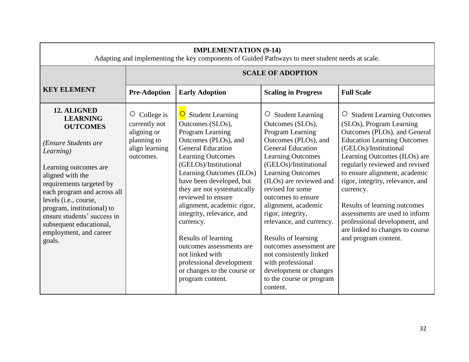| <b>IMPLEMENTATION (9-14)</b><br>Adapting and implementing the key components of Guided Pathways to meet student needs at scale.                                                                                                                                                                                                                     |                                                                                                     |                                                                                                                                                                                                                                                                                                                                                                                                                                                                                                                            |                                                                                                                                                                                                                                                                                                                                                                                                                                                                                                                        |                                                                                                                                                                                                                                                                                                                                                                                                                                                                          |  |
|-----------------------------------------------------------------------------------------------------------------------------------------------------------------------------------------------------------------------------------------------------------------------------------------------------------------------------------------------------|-----------------------------------------------------------------------------------------------------|----------------------------------------------------------------------------------------------------------------------------------------------------------------------------------------------------------------------------------------------------------------------------------------------------------------------------------------------------------------------------------------------------------------------------------------------------------------------------------------------------------------------------|------------------------------------------------------------------------------------------------------------------------------------------------------------------------------------------------------------------------------------------------------------------------------------------------------------------------------------------------------------------------------------------------------------------------------------------------------------------------------------------------------------------------|--------------------------------------------------------------------------------------------------------------------------------------------------------------------------------------------------------------------------------------------------------------------------------------------------------------------------------------------------------------------------------------------------------------------------------------------------------------------------|--|
|                                                                                                                                                                                                                                                                                                                                                     |                                                                                                     |                                                                                                                                                                                                                                                                                                                                                                                                                                                                                                                            | <b>SCALE OF ADOPTION</b>                                                                                                                                                                                                                                                                                                                                                                                                                                                                                               |                                                                                                                                                                                                                                                                                                                                                                                                                                                                          |  |
| <b>KEY ELEMENT</b>                                                                                                                                                                                                                                                                                                                                  | <b>Pre-Adoption</b>                                                                                 | <b>Early Adoption</b>                                                                                                                                                                                                                                                                                                                                                                                                                                                                                                      | <b>Scaling in Progress</b>                                                                                                                                                                                                                                                                                                                                                                                                                                                                                             | <b>Full Scale</b>                                                                                                                                                                                                                                                                                                                                                                                                                                                        |  |
| 12. ALIGNED<br><b>LEARNING</b><br><b>OUTCOMES</b><br>(Ensure Students are<br>Learning)<br>Learning outcomes are<br>aligned with the<br>requirements targeted by<br>each program and across all<br>levels (i.e., course,<br>program, institutional) to<br>ensure students' success in<br>subsequent educational,<br>employment, and career<br>goals. | College is<br>$\circ$<br>currently not<br>aligning or<br>planning to<br>align learning<br>outcomes. | $\overline{O}$ Student Learning<br>Outcomes (SLOs),<br>Program Learning<br>Outcomes (PLOs), and<br><b>General Education</b><br><b>Learning Outcomes</b><br>(GELOs)/Institutional<br>Learning Outcomes (ILOs)<br>have been developed, but<br>they are not systematically<br>reviewed to ensure<br>alignment, academic rigor,<br>integrity, relevance, and<br>currency.<br>Results of learning<br>outcomes assessments are<br>not linked with<br>professional development<br>or changes to the course or<br>program content. | $\circ$ Student Learning<br>Outcomes (SLOs),<br>Program Learning<br>Outcomes (PLOs), and<br><b>General Education</b><br><b>Learning Outcomes</b><br>(GELOs)/Institutional<br><b>Learning Outcomes</b><br>(ILOs) are reviewed and<br>revised for some<br>outcomes to ensure<br>alignment, academic<br>rigor, integrity,<br>relevance, and currency.<br>Results of learning<br>outcomes assessment are<br>not consistently linked<br>with professional<br>development or changes<br>to the course or program<br>content. | O Student Learning Outcomes<br>(SLOs), Program Learning<br>Outcomes (PLOs), and General<br><b>Education Learning Outcomes</b><br>(GELOs)/Institutional<br>Learning Outcomes (ILOs) are<br>regularly reviewed and revised<br>to ensure alignment, academic<br>rigor, integrity, relevance, and<br>currency.<br>Results of learning outcomes<br>assessments are used to inform<br>professional development, and<br>are linked to changes to course<br>and program content. |  |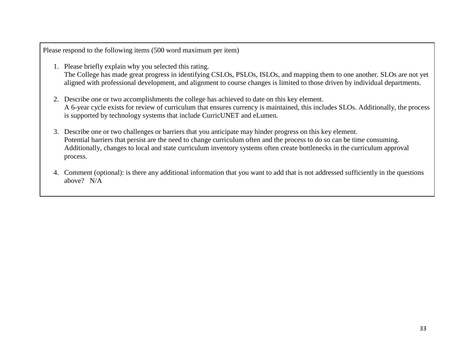- 1. Please briefly explain why you selected this rating. The College has made great progress in identifying CSLOs, PSLOs, ISLOs, and mapping them to one another. SLOs are not yet aligned with professional development, and alignment to course changes is limited to those driven by individual departments.
- 2. Describe one or two accomplishments the college has achieved to date on this key element. A 6-year cycle exists for review of curriculum that ensures currency is maintained, this includes SLOs. Additionally, the process is supported by technology systems that include CurricUNET and eLumen.
- 3. Describe one or two challenges or barriers that you anticipate may hinder progress on this key element. Potential barriers that persist are the need to change curriculum often and the process to do so can be time consuming. Additionally, changes to local and state curriculum inventory systems often create bottlenecks in the curriculum approval process.
- 4. Comment (optional): is there any additional information that you want to add that is not addressed sufficiently in the questions above? N/A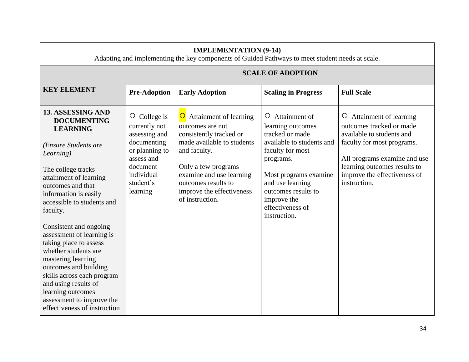| <b>IMPLEMENTATION (9-14)</b><br>Adapting and implementing the key components of Guided Pathways to meet student needs at scale.                                                                                                                                                                                                                                                                                                                                                                                                         |                                                                                                                                                     |                                                                                                                                                                                                                                                         |                                                                                                                                                                                                                                                       |                                                                                                                                                                                                                                          |  |  |
|-----------------------------------------------------------------------------------------------------------------------------------------------------------------------------------------------------------------------------------------------------------------------------------------------------------------------------------------------------------------------------------------------------------------------------------------------------------------------------------------------------------------------------------------|-----------------------------------------------------------------------------------------------------------------------------------------------------|---------------------------------------------------------------------------------------------------------------------------------------------------------------------------------------------------------------------------------------------------------|-------------------------------------------------------------------------------------------------------------------------------------------------------------------------------------------------------------------------------------------------------|------------------------------------------------------------------------------------------------------------------------------------------------------------------------------------------------------------------------------------------|--|--|
|                                                                                                                                                                                                                                                                                                                                                                                                                                                                                                                                         | <b>SCALE OF ADOPTION</b>                                                                                                                            |                                                                                                                                                                                                                                                         |                                                                                                                                                                                                                                                       |                                                                                                                                                                                                                                          |  |  |
| <b>KEY ELEMENT</b>                                                                                                                                                                                                                                                                                                                                                                                                                                                                                                                      | <b>Pre-Adoption</b>                                                                                                                                 | <b>Early Adoption</b>                                                                                                                                                                                                                                   | <b>Scaling in Progress</b>                                                                                                                                                                                                                            | <b>Full Scale</b>                                                                                                                                                                                                                        |  |  |
| 13. ASSESSING AND<br><b>DOCUMENTING</b><br><b>LEARNING</b><br>(Ensure Students are<br>Learning)<br>The college tracks<br>attainment of learning<br>outcomes and that<br>information is easily<br>accessible to students and<br>faculty.<br>Consistent and ongoing<br>assessment of learning is<br>taking place to assess<br>whether students are<br>mastering learning<br>outcomes and building<br>skills across each program<br>and using results of<br>learning outcomes<br>assessment to improve the<br>effectiveness of instruction | O<br>College is<br>currently not<br>assessing and<br>documenting<br>or planning to<br>assess and<br>document<br>individual<br>student's<br>learning | Attainment of learning<br>$\cup$<br>outcomes are not<br>consistently tracked or<br>made available to students<br>and faculty.<br>Only a few programs<br>examine and use learning<br>outcomes results to<br>improve the effectiveness<br>of instruction. | Attainment of<br>$\circ$<br>learning outcomes<br>tracked or made<br>available to students and<br>faculty for most<br>programs.<br>Most programs examine<br>and use learning<br>outcomes results to<br>improve the<br>effectiveness of<br>instruction. | Attainment of learning<br>$\circ$<br>outcomes tracked or made<br>available to students and<br>faculty for most programs.<br>All programs examine and use<br>learning outcomes results to<br>improve the effectiveness of<br>instruction. |  |  |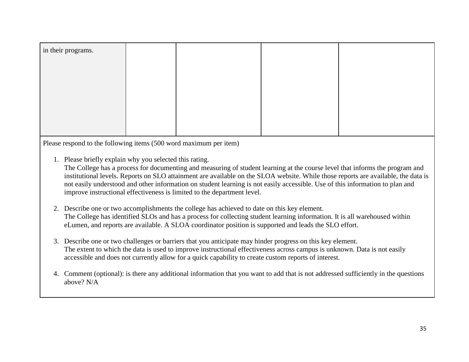| in their programs. |  |  |
|--------------------|--|--|
|                    |  |  |
|                    |  |  |
|                    |  |  |
|                    |  |  |
|                    |  |  |
|                    |  |  |

1. Please briefly explain why you selected this rating.

The College has a process for documenting and measuring of student learning at the course level that informs the program and institutional levels. Reports on SLO attainment are available on the SLOA website. While those reports are available, the data is not easily understood and other information on student learning is not easily accessible. Use of this information to plan and improve instructional effectiveness is limited to the department level.

- 2. Describe one or two accomplishments the college has achieved to date on this key element. The College has identified SLOs and has a process for collecting student learning information. It is all warehoused within eLumen, and reports are available. A SLOA coordinator position is supported and leads the SLO effort.
- 3. Describe one or two challenges or barriers that you anticipate may hinder progress on this key element. The extent to which the data is used to improve instructional effectiveness across campus is unknown. Data is not easily accessible and does not currently allow for a quick capability to create custom reports of interest.
- 4. Comment (optional): is there any additional information that you want to add that is not addressed sufficiently in the questions above? N/A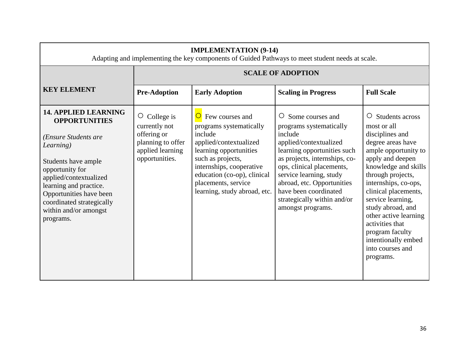| <b>SCALE OF ADOPTION</b><br><b>KEY ELEMENT</b><br><b>Pre-Adoption</b><br><b>Full Scale</b><br><b>Early Adoption</b><br><b>Scaling in Progress</b><br><b>14. APPLIED LEARNING</b><br>O Students across<br>$\overline{O}$ Few courses and<br>O Some courses and<br>$\circ$ College is<br><b>OPPORTUNITIES</b><br>currently not<br>programs systematically<br>most or all<br>programs systematically<br>offering or<br>include<br>include<br>disciplines and<br>(Ensure Students are<br>planning to offer<br>degree areas have<br>applied/contextualized<br>applied/contextualized<br>Learning)<br>applied learning<br>learning opportunities<br>learning opportunities such<br>such as projects,<br>as projects, internships, co-<br>opportunities.<br>apply and deepen<br>Students have ample<br>internships, cooperative<br>ops, clinical placements,<br>opportunity for<br>education (co-op), clinical<br>service learning, study<br>through projects,<br>applied/contextualized<br>placements, service<br>abroad, etc. Opportunities<br>internships, co-ops,<br>learning and practice.<br>have been coordinated<br>learning, study abroad, etc.<br>Opportunities have been<br>service learning,<br>strategically within and/or<br>coordinated strategically<br>study abroad, and<br>amongst programs.<br>within and/or amongst<br>programs.<br>activities that<br>program faculty<br>into courses and<br>programs. | <b>IMPLEMENTATION (9-14)</b><br>Adapting and implementing the key components of Guided Pathways to meet student needs at scale. |  |  |  |                                                                                                                      |  |  |
|----------------------------------------------------------------------------------------------------------------------------------------------------------------------------------------------------------------------------------------------------------------------------------------------------------------------------------------------------------------------------------------------------------------------------------------------------------------------------------------------------------------------------------------------------------------------------------------------------------------------------------------------------------------------------------------------------------------------------------------------------------------------------------------------------------------------------------------------------------------------------------------------------------------------------------------------------------------------------------------------------------------------------------------------------------------------------------------------------------------------------------------------------------------------------------------------------------------------------------------------------------------------------------------------------------------------------------------------------------------------------------------------------------------------|---------------------------------------------------------------------------------------------------------------------------------|--|--|--|----------------------------------------------------------------------------------------------------------------------|--|--|
|                                                                                                                                                                                                                                                                                                                                                                                                                                                                                                                                                                                                                                                                                                                                                                                                                                                                                                                                                                                                                                                                                                                                                                                                                                                                                                                                                                                                                      |                                                                                                                                 |  |  |  |                                                                                                                      |  |  |
|                                                                                                                                                                                                                                                                                                                                                                                                                                                                                                                                                                                                                                                                                                                                                                                                                                                                                                                                                                                                                                                                                                                                                                                                                                                                                                                                                                                                                      |                                                                                                                                 |  |  |  |                                                                                                                      |  |  |
|                                                                                                                                                                                                                                                                                                                                                                                                                                                                                                                                                                                                                                                                                                                                                                                                                                                                                                                                                                                                                                                                                                                                                                                                                                                                                                                                                                                                                      |                                                                                                                                 |  |  |  | ample opportunity to<br>knowledge and skills<br>clinical placements,<br>other active learning<br>intentionally embed |  |  |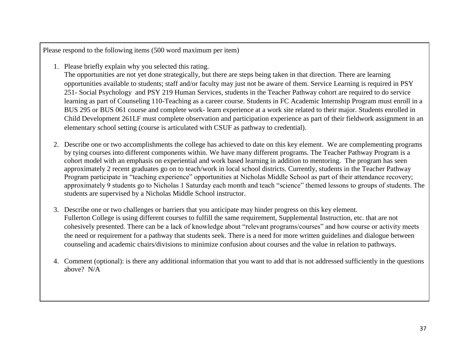1. Please briefly explain why you selected this rating.

The opportunities are not yet done strategically, but there are steps being taken in that direction. There are learning opportunities available to students; staff and/or faculty may just not be aware of them. Service Learning is required in PSY 251- Social Psychology and PSY 219 Human Services, students in the Teacher Pathway cohort are required to do service learning as part of Counseling 110-Teaching as a career course. Students in FC Academic Internship Program must enroll in a BUS 295 or BUS 061 course and complete work- learn experience at a work site related to their major. Students enrolled in Child Development 261LF must complete observation and participation experience as part of their fieldwork assignment in an elementary school setting (course is articulated with CSUF as pathway to credential).

- 2. Describe one or two accomplishments the college has achieved to date on this key element. We are complementing programs by tying courses into different components within. We have many different programs. The Teacher Pathway Program is a cohort model with an emphasis on experiential and work based learning in addition to mentoring. The program has seen approximately 2 recent graduates go on to teach/work in local school districts. Currently, students in the Teacher Pathway Program participate in "teaching experience" opportunities at Nicholas Middle School as part of their attendance recovery; approximately 9 students go to Nicholas 1 Saturday each month and teach "science" themed lessons to groups of students. The students are supervised by a Nicholas Middle School instructor.
- 3. Describe one or two challenges or barriers that you anticipate may hinder progress on this key element. Fullerton College is using different courses to fulfill the same requirement, Supplemental Instruction, etc. that are not cohesively presented. There can be a lack of knowledge about "relevant programs/courses" and how course or activity meets the need or requirement for a pathway that students seek. There is a need for more written guidelines and dialogue between counseling and academic chairs/divisions to minimize confusion about courses and the value in relation to pathways.
- 4. Comment (optional): is there any additional information that you want to add that is not addressed sufficiently in the questions above? N/A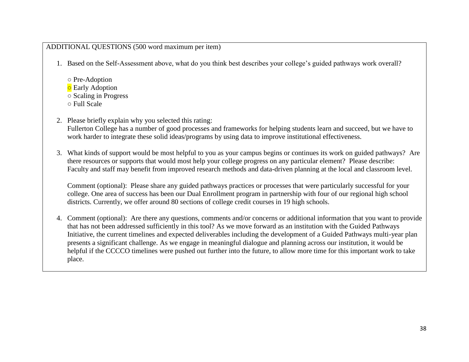#### ADDITIONAL QUESTIONS (500 word maximum per item)

1. Based on the Self-Assessment above, what do you think best describes your college's guided pathways work overall?

- Pre-Adoption ○ Early Adoption ○ Scaling in Progress ○ Full Scale
- 2. Please briefly explain why you selected this rating: Fullerton College has a number of good processes and frameworks for helping students learn and succeed, but we have to work harder to integrate these solid ideas/programs by using data to improve institutional effectiveness.
- 3. What kinds of support would be most helpful to you as your campus begins or continues its work on guided pathways? Are there resources or supports that would most help your college progress on any particular element? Please describe: Faculty and staff may benefit from improved research methods and data-driven planning at the local and classroom level.

Comment (optional): Please share any guided pathways practices or processes that were particularly successful for your college. One area of success has been our Dual Enrollment program in partnership with four of our regional high school districts. Currently, we offer around 80 sections of college credit courses in 19 high schools.

4. Comment (optional): Are there any questions, comments and/or concerns or additional information that you want to provide that has not been addressed sufficiently in this tool? As we move forward as an institution with the Guided Pathways Initiative, the current timelines and expected deliverables including the development of a Guided Pathways multi-year plan presents a significant challenge. As we engage in meaningful dialogue and planning across our institution, it would be helpful if the CCCCO timelines were pushed out further into the future, to allow more time for this important work to take place.